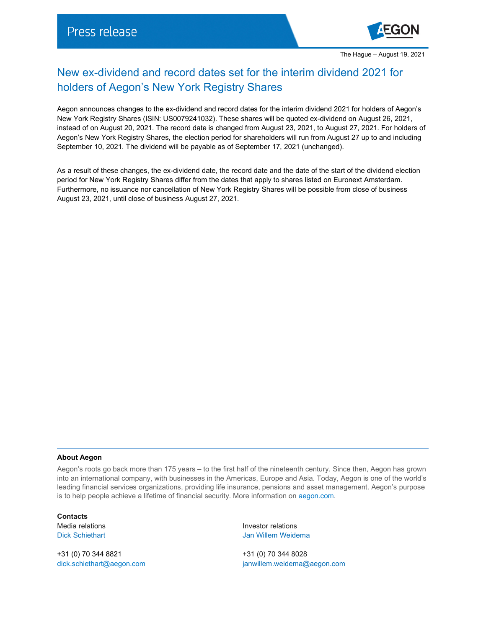

## New ex-dividend and record dates set for the interim dividend 2021 for holders of Aegon's New York Registry Shares

Aegon announces changes to the ex-dividend and record dates for the interim dividend 2021 for holders of Aegon's New York Registry Shares (ISIN: US0079241032). These shares will be quoted ex-dividend on August 26, 2021, instead of on August 20, 2021. The record date is changed from August 23, 2021, to August 27, 2021. For holders of Aegon's New York Registry Shares, the election period for shareholders will run from August 27 up to and including September 10, 2021. The dividend will be payable as of September 17, 2021 (unchanged).

As a result of these changes, the ex-dividend date, the record date and the date of the start of the dividend election period for New York Registry Shares differ from the dates that apply to shares listed on Euronext Amsterdam. Furthermore, no issuance nor cancellation of New York Registry Shares will be possible from close of business August 23, 2021, until close of business August 27, 2021.

## **About Aegon**

Aegon's roots go back more than 175 years – to the first half of the nineteenth century. Since then, Aegon has grown into an international company, with businesses in the Americas, Europe and Asia. Today, Aegon is one of the world's leading financial services organizations, providing life insurance, pensions and asset management. Aegon's purpose is to help people achieve a lifetime of financial security. More information on [aegon.com.](https://www.aegon.com/about/)

**Contacts**

+31 (0) 70 344 8821 +31 (0) 70 344 8028

Media relations **Investor relations Investor relations** Dick Schiethart **Disk Schiethart** Jan Willem Weidema

[dick.schiethart@aegon.com](mailto:dick.schiethart@aegon.com) [janwillem.weidema@aegon.com](mailto:janwillem.weidema@aegon.com)